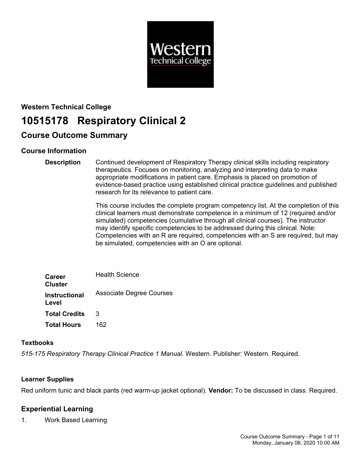

# **Western Technical College 10515178 Respiratory Clinical 2**

# **Course Outcome Summary**

# **Course Information**

**Description** Continued development of Respiratory Therapy clinical skills including respiratory therapeutics. Focuses on monitoring, analyzing and interpreting data to make appropriate modifications in patient care. Emphasis is placed on promotion of evidence-based practice using established clinical practice guidelines and published research for its relevance to patient care.

> This course includes the complete program competency list. At the completion of this clinical learners must demonstrate competence in a minimum of 12 (required and/or simulated) competencies (cumulative through all clinical courses). The instructor may identify specific competencies to be addressed during this clinical. Note: Competencies with an R are required, competencies with an S are required, but may be simulated, competencies with an O are optional.

| <b>Career</b><br><b>Cluster</b> | <b>Health Science</b>           |
|---------------------------------|---------------------------------|
| <b>Instructional</b><br>Level   | <b>Associate Degree Courses</b> |
| <b>Total Credits</b>            | 3                               |
| <b>Total Hours</b>              | 162                             |

# **Textbooks**

*515-175 Respiratory Therapy Clinical Practice 1 Manual*. Western. Publisher: Western. Required.

# **Learner Supplies**

Red uniform tunic and black pants (red warm-up jacket optional). **Vendor:** To be discussed in class. Required.

# **Experiential Learning**

1. Work Based Learning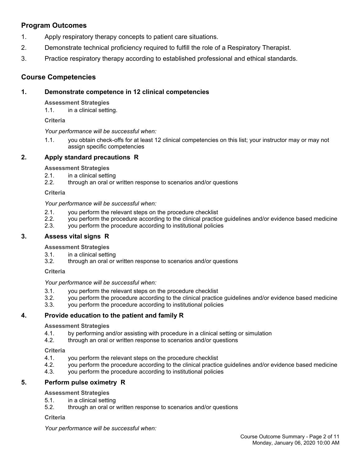# **Program Outcomes**

- 1. Apply respiratory therapy concepts to patient care situations.
- 2. Demonstrate technical proficiency required to fulfill the role of a Respiratory Therapist.
- 3. Practice respiratory therapy according to established professional and ethical standards.

# **Course Competencies**

# **1. Demonstrate competence in 12 clinical competencies**

**Assessment Strategies**

1.1. in a clinical setting.

**Criteria**

*Your performance will be successful when:*

1.1. you obtain check-offs for at least 12 clinical competencies on this list; your instructor may or may not assign specific competencies

# **2. Apply standard precautions R**

**Assessment Strategies**

- 2.1. in a clinical setting
- 2.2. through an oral or written response to scenarios and/or questions

**Criteria**

*Your performance will be successful when:*

- 2.1. you perform the relevant steps on the procedure checklist
- 2.2. you perform the procedure according to the clinical practice guidelines and/or evidence based medicine
- 2.3. you perform the procedure according to institutional policies

# **3. Assess vital signs R**

**Assessment Strategies**

- 3.1. in a clinical setting
- 3.2. through an oral or written response to scenarios and/or questions

**Criteria**

*Your performance will be successful when:*

- 3.1. you perform the relevant steps on the procedure checklist
- 3.2. you perform the procedure according to the clinical practice guidelines and/or evidence based medicine
- 3.3. you perform the procedure according to institutional policies

# **4. Provide education to the patient and family R**

#### **Assessment Strategies**

- 4.1. by performing and/or assisting with procedure in a clinical setting or simulation<br>4.2. through an oral or written response to scenarios and/or questions
- through an oral or written response to scenarios and/or questions

**Criteria**

- 4.1. you perform the relevant steps on the procedure checklist
- 4.2. you perform the procedure according to the clinical practice guidelines and/or evidence based medicine
- 4.3. you perform the procedure according to institutional policies

# **5. Perform pulse oximetry R**

# **Assessment Strategies**

- 5.1. in a clinical setting
- 5.2. through an oral or written response to scenarios and/or questions

#### **Criteria**

*Your performance will be successful when:*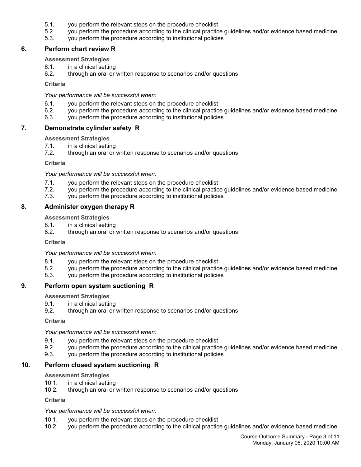- 5.1. you perform the relevant steps on the procedure checklist
- 5.2. you perform the procedure according to the clinical practice guidelines and/or evidence based medicine
- 5.3. you perform the procedure according to institutional policies

# **6. Perform chart review R**

### **Assessment Strategies**

- 6.1. in a clinical setting
- 6.2. through an oral or written response to scenarios and/or questions

#### **Criteria**

*Your performance will be successful when:*

- 6.1. you perform the relevant steps on the procedure checklist
- 6.2. you perform the procedure according to the clinical practice guidelines and/or evidence based medicine
- 6.3. you perform the procedure according to institutional policies

# **7. Demonstrate cylinder safety R**

#### **Assessment Strategies**

- 7.1. in a clinical setting
- 7.2. through an oral or written response to scenarios and/or questions

#### **Criteria**

*Your performance will be successful when:*

- 7.1. you perform the relevant steps on the procedure checklist
- 7.2. you perform the procedure according to the clinical practice guidelines and/or evidence based medicine
- 7.3. you perform the procedure according to institutional policies

# **8. Administer oxygen therapy R**

**Assessment Strategies**

- 8.1. in a clinical setting
- 8.2. through an oral or written response to scenarios and/or questions

#### **Criteria**

*Your performance will be successful when:*

- 8.1. you perform the relevant steps on the procedure checklist
- 8.2. you perform the procedure according to the clinical practice guidelines and/or evidence based medicine
- 8.3. you perform the procedure according to institutional policies

# **9. Perform open system suctioning R**

**Assessment Strategies**

- 9.1. in a clinical setting
- 9.2. through an oral or written response to scenarios and/or questions

**Criteria**

*Your performance will be successful when:*

- 9.1. you perform the relevant steps on the procedure checklist
- 9.2. you perform the procedure according to the clinical practice guidelines and/or evidence based medicine
- 9.3. you perform the procedure according to institutional policies

# **10. Perform closed system suctioning R**

#### **Assessment Strategies**

- 10.1. in a clinical setting
- 10.2. through an oral or written response to scenarios and/or questions

**Criteria**

#### *Your performance will be successful when:*

- 10.1. you perform the relevant steps on the procedure checklist
- 10.2. you perform the procedure according to the clinical practice guidelines and/or evidence based medicine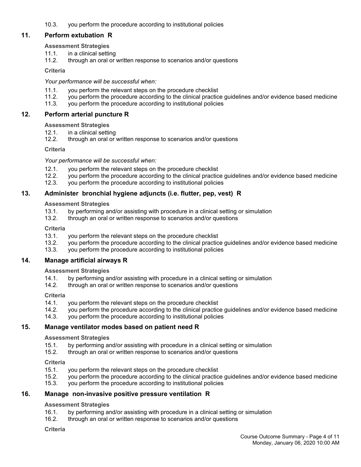10.3. you perform the procedure according to institutional policies

# **11. Perform extubation R**

# **Assessment Strategies**

- 11.1. in a clinical setting
- 11.2. through an oral or written response to scenarios and/or questions

# **Criteria**

# *Your performance will be successful when:*

- 11.1. you perform the relevant steps on the procedure checklist
- 11.2. you perform the procedure according to the clinical practice guidelines and/or evidence based medicine
- 11.3. you perform the procedure according to institutional policies

# **12. Perform arterial puncture R**

# **Assessment Strategies**

- 12.1. in a clinical setting
- 12.2. through an oral or written response to scenarios and/or questions

# **Criteria**

# *Your performance will be successful when:*

- 12.1. you perform the relevant steps on the procedure checklist
- 12.2. you perform the procedure according to the clinical practice guidelines and/or evidence based medicine
- 12.3. you perform the procedure according to institutional policies

# **13. Administer bronchial hygiene adjuncts (i.e. flutter, pep, vest) R**

# **Assessment Strategies**

- 13.1. by performing and/or assisting with procedure in a clinical setting or simulation
- 13.2. through an oral or written response to scenarios and/or questions

# **Criteria**

- 13.1. you perform the relevant steps on the procedure checklist
- 13.2. you perform the procedure according to the clinical practice guidelines and/or evidence based medicine
- 13.3. you perform the procedure according to institutional policies

# **14. Manage artificial airways R**

# **Assessment Strategies**

- 14.1. by performing and/or assisting with procedure in a clinical setting or simulation
- 14.2. through an oral or written response to scenarios and/or questions

# **Criteria**

- 14.1. you perform the relevant steps on the procedure checklist
- 14.2. you perform the procedure according to the clinical practice guidelines and/or evidence based medicine
- 14.3. you perform the procedure according to institutional policies

# **15. Manage ventilator modes based on patient need R**

# **Assessment Strategies**

- 15.1. by performing and/or assisting with procedure in a clinical setting or simulation
- 15.2. through an oral or written response to scenarios and/or questions

# **Criteria**

- 15.1. you perform the relevant steps on the procedure checklist<br>15.2. vou perform the procedure according to the clinical practic
- 15.2. you perform the procedure according to the clinical practice guidelines and/or evidence based medicine
- 15.3. you perform the procedure according to institutional policies

# **16. Manage non-invasive positive pressure ventilation R**

# **Assessment Strategies**

- 16.1. by performing and/or assisting with procedure in a clinical setting or simulation
- 16.2. through an oral or written response to scenarios and/or questions

# **Criteria**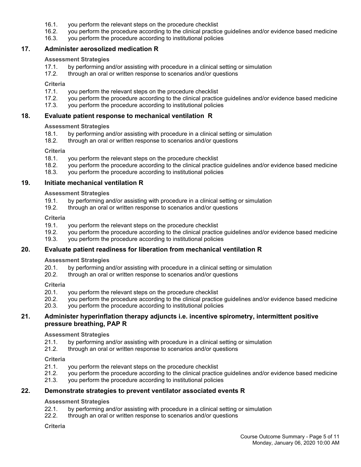- 16.1. you perform the relevant steps on the procedure checklist
- 16.2. you perform the procedure according to the clinical practice guidelines and/or evidence based medicine
- 16.3. you perform the procedure according to institutional policies

# **17. Administer aerosolized medication R**

#### **Assessment Strategies**

- 17.1. by performing and/or assisting with procedure in a clinical setting or simulation
- 17.2. through an oral or written response to scenarios and/or questions

#### **Criteria**

- 17.1. you perform the relevant steps on the procedure checklist
- 17.2. you perform the procedure according to the clinical practice guidelines and/or evidence based medicine
- 17.3. you perform the procedure according to institutional policies

### **18. Evaluate patient response to mechanical ventilation R**

# **Assessment Strategies**

- 18.1. by performing and/or assisting with procedure in a clinical setting or simulation 18.2. through an oral or written response to scenarios and/or questions
- through an oral or written response to scenarios and/or questions

#### **Criteria**

- 18.1. you perform the relevant steps on the procedure checklist
- 18.2. you perform the procedure according to the clinical practice guidelines and/or evidence based medicine
- 18.3. you perform the procedure according to institutional policies

#### **19. Initiate mechanical ventilation R**

#### **Assessment Strategies**

- 19.1. by performing and/or assisting with procedure in a clinical setting or simulation<br>19.2. through an oral or written response to scenarios and/or questions
- through an oral or written response to scenarios and/or questions

#### **Criteria**

- 19.1. you perform the relevant steps on the procedure checklist
- 19.2. you perform the procedure according to the clinical practice guidelines and/or evidence based medicine
- 19.3. you perform the procedure according to institutional policies

# **20. Evaluate patient readiness for liberation from mechanical ventilation R**

# **Assessment Strategies**

- 20.1. by performing and/or assisting with procedure in a clinical setting or simulation
- 20.2. through an oral or written response to scenarios and/or questions

#### **Criteria**

- 20.1. you perform the relevant steps on the procedure checklist
- 20.2. you perform the procedure according to the clinical practice guidelines and/or evidence based medicine
- 20.3. you perform the procedure according to institutional policies

# **21. Administer hyperinflation therapy adjuncts i.e. incentive spirometry, intermittent positive pressure breathing, PAP R**

#### **Assessment Strategies**

- 21.1. by performing and/or assisting with procedure in a clinical setting or simulation
- 21.2. through an oral or written response to scenarios and/or questions

#### **Criteria**

- 21.1. you perform the relevant steps on the procedure checklist
- 21.2. you perform the procedure according to the clinical practice guidelines and/or evidence based medicine
- 21.3. you perform the procedure according to institutional policies

# **22. Demonstrate strategies to prevent ventilator associated events R**

#### **Assessment Strategies**

- 22.1. by performing and/or assisting with procedure in a clinical setting or simulation
- 22.2. through an oral or written response to scenarios and/or questions

#### **Criteria**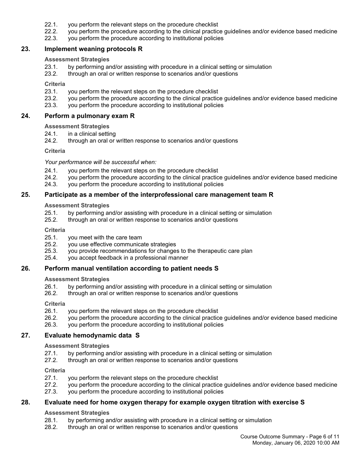- 22.1. you perform the relevant steps on the procedure checklist
- 22.2. you perform the procedure according to the clinical practice guidelines and/or evidence based medicine
- 22.3. you perform the procedure according to institutional policies

# **23. Implement weaning protocols R**

#### **Assessment Strategies**

- 23.1. by performing and/or assisting with procedure in a clinical setting or simulation
- 23.2. through an oral or written response to scenarios and/or questions

#### **Criteria**

- 23.1. you perform the relevant steps on the procedure checklist
- 23.2. you perform the procedure according to the clinical practice guidelines and/or evidence based medicine
- 23.3. you perform the procedure according to institutional policies

#### **24. Perform a pulmonary exam R**

# **Assessment Strategies**

- 24.1. in a clinical setting
- 24.2. through an oral or written response to scenarios and/or questions

#### **Criteria**

#### *Your performance will be successful when:*

- 24.1. you perform the relevant steps on the procedure checklist
- 24.2. you perform the procedure according to the clinical practice guidelines and/or evidence based medicine
- 24.3. you perform the procedure according to institutional policies

# **25. Participate as a member of the interprofessional care management team R**

# **Assessment Strategies**

- 25.1. by performing and/or assisting with procedure in a clinical setting or simulation
- 25.2. through an oral or written response to scenarios and/or questions

#### **Criteria**

- 25.1. you meet with the care team
- 25.2. you use effective communicate strategies
- 25.3. you provide recommendations for changes to the therapeutic care plan
- 25.4. you accept feedback in a professional manner

# **26. Perform manual ventilation according to patient needs S**

#### **Assessment Strategies**

- 26.1. by performing and/or assisting with procedure in a clinical setting or simulation
- 26.2. through an oral or written response to scenarios and/or questions

### **Criteria**

- 26.1. you perform the relevant steps on the procedure checklist
- 26.2. you perform the procedure according to the clinical practice guidelines and/or evidence based medicine
- 26.3. you perform the procedure according to institutional policies

# **27. Evaluate hemodynamic data S**

#### **Assessment Strategies**

- 27.1. by performing and/or assisting with procedure in a clinical setting or simulation
- 27.2. through an oral or written response to scenarios and/or questions

#### **Criteria**

- 27.1. you perform the relevant steps on the procedure checklist
- 27.2. you perform the procedure according to the clinical practice guidelines and/or evidence based medicine
- 27.3. you perform the procedure according to institutional policies

# **28. Evaluate need for home oxygen therapy for example oxygen titration with exercise S**

# **Assessment Strategies**

- 28.1. by performing and/or assisting with procedure in a clinical setting or simulation
- 28.2. through an oral or written response to scenarios and/or questions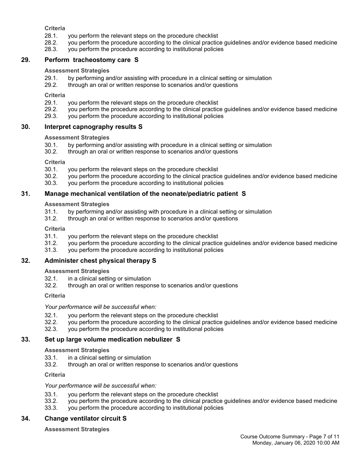**Criteria**

- 28.1. you perform the relevant steps on the procedure checklist
- 28.2. you perform the procedure according to the clinical practice guidelines and/or evidence based medicine
- 28.3. you perform the procedure according to institutional policies

# **29. Perform tracheostomy care S**

### **Assessment Strategies**

- 29.1. by performing and/or assisting with procedure in a clinical setting or simulation
- 29.2. through an oral or written response to scenarios and/or questions

**Criteria**

- 29.1. you perform the relevant steps on the procedure checklist
- 29.2. you perform the procedure according to the clinical practice guidelines and/or evidence based medicine 29.3. vou perform the procedure according to institutional policies
- you perform the procedure according to institutional policies

# **30. Interpret capnography results S**

# **Assessment Strategies**

- 30.1. by performing and/or assisting with procedure in a clinical setting or simulation
- 30.2. through an oral or written response to scenarios and/or questions

**Criteria**

- 30.1. you perform the relevant steps on the procedure checklist
- 30.2. you perform the procedure according to the clinical practice guidelines and/or evidence based medicine
- 30.3. you perform the procedure according to institutional policies

# **31. Manage mechanical ventilation of the neonate/pediatric patient S**

**Assessment Strategies**

- 31.1. by performing and/or assisting with procedure in a clinical setting or simulation
- 31.2. through an oral or written response to scenarios and/or questions

**Criteria**

- 31.1. you perform the relevant steps on the procedure checklist
- 31.2. you perform the procedure according to the clinical practice guidelines and/or evidence based medicine
- 31.3. you perform the procedure according to institutional policies

# **32. Administer chest physical therapy S**

**Assessment Strategies**

- 32.1. in a clinical setting or simulation
- 32.2. through an oral or written response to scenarios and/or questions

**Criteria**

*Your performance will be successful when:*

- 32.1. you perform the relevant steps on the procedure checklist
- 32.2. you perform the procedure according to the clinical practice guidelines and/or evidence based medicine
- 32.3. you perform the procedure according to institutional policies

# **33. Set up large volume medication nebulizer S**

**Assessment Strategies**

- 33.1. in a clinical setting or simulation
- 33.2. through an oral or written response to scenarios and/or questions

**Criteria**

#### *Your performance will be successful when:*

- 33.1. you perform the relevant steps on the procedure checklist
- 33.2. you perform the procedure according to the clinical practice guidelines and/or evidence based medicine
- 33.3. you perform the procedure according to institutional policies

# **34. Change ventilator circuit S**

**Assessment Strategies**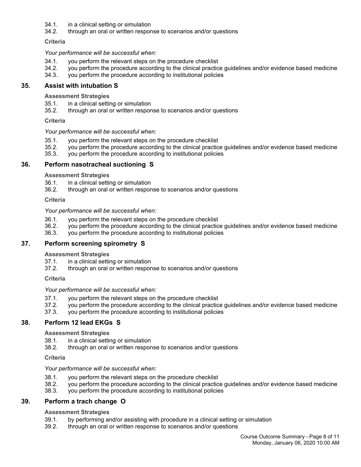- 34.1. in a clinical setting or simulation
- 34.2. through an oral or written response to scenarios and/or questions

**Criteria**

*Your performance will be successful when:*

- 34.1. you perform the relevant steps on the procedure checklist
- 34.2. you perform the procedure according to the clinical practice guidelines and/or evidence based medicine
- 34.3. you perform the procedure according to institutional policies

# **35. Assist with intubation S**

**Assessment Strategies**

- 35.1. in a clinical setting or simulation
- 35.2. through an oral or written response to scenarios and/or questions

**Criteria**

#### *Your performance will be successful when:*

- 35.1. you perform the relevant steps on the procedure checklist
- 35.2. you perform the procedure according to the clinical practice guidelines and/or evidence based medicine
- 35.3. you perform the procedure according to institutional policies

# **36. Perform nasotracheal suctioning S**

**Assessment Strategies**

- 36.1. in a clinical setting or simulation
- 36.2. through an oral or written response to scenarios and/or questions

**Criteria**

#### *Your performance will be successful when:*

- 36.1. you perform the relevant steps on the procedure checklist
- 36.2. you perform the procedure according to the clinical practice guidelines and/or evidence based medicine
- 36.3. you perform the procedure according to institutional policies

# **37. Perform screening spirometry S**

#### **Assessment Strategies**

- 37.1. in a clinical setting or simulation
- 37.2. through an oral or written response to scenarios and/or questions

**Criteria**

*Your performance will be successful when:*

- 37.1. you perform the relevant steps on the procedure checklist
- 37.2. you perform the procedure according to the clinical practice guidelines and/or evidence based medicine
- 37.3. you perform the procedure according to institutional policies

# **38. Perform 12 lead EKGs S**

#### **Assessment Strategies**

- 38.1. in a clinical setting or simulation
- 38.2. through an oral or written response to scenarios and/or questions

#### **Criteria**

#### *Your performance will be successful when:*

- 38.1. you perform the relevant steps on the procedure checklist
- 38.2. you perform the procedure according to the clinical practice guidelines and/or evidence based medicine
- 38.3. you perform the procedure according to institutional policies

# **39. Perform a trach change O**

# **Assessment Strategies**

- 39.1. by performing and/or assisting with procedure in a clinical setting or simulation
- 39.2. through an oral or written response to scenarios and/or questions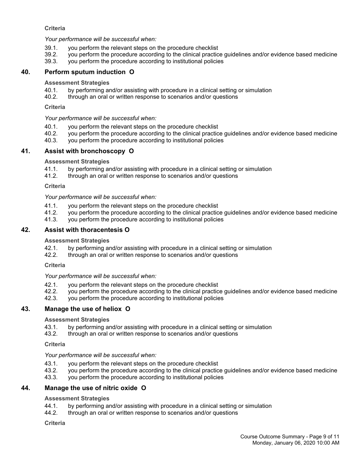# **Criteria**

*Your performance will be successful when:*

- 39.1. you perform the relevant steps on the procedure checklist
- 39.2. you perform the procedure according to the clinical practice guidelines and/or evidence based medicine
- 39.3. you perform the procedure according to institutional policies

# **40. Perform sputum induction O**

#### **Assessment Strategies**

- 40.1. by performing and/or assisting with procedure in a clinical setting or simulation
- 40.2. through an oral or written response to scenarios and/or questions

#### **Criteria**

*Your performance will be successful when:*

- 40.1. you perform the relevant steps on the procedure checklist
- 40.2. you perform the procedure according to the clinical practice guidelines and/or evidence based medicine
- 40.3. you perform the procedure according to institutional policies

# **41. Assist with bronchoscopy O**

#### **Assessment Strategies**

- 41.1. by performing and/or assisting with procedure in a clinical setting or simulation
- 41.2. through an oral or written response to scenarios and/or questions

#### **Criteria**

*Your performance will be successful when:*

- 41.1. you perform the relevant steps on the procedure checklist
- 41.2. you perform the procedure according to the clinical practice guidelines and/or evidence based medicine
- 41.3. you perform the procedure according to institutional policies

# **42. Assist with thoracentesis O**

#### **Assessment Strategies**

- 42.1. by performing and/or assisting with procedure in a clinical setting or simulation
- 42.2. through an oral or written response to scenarios and/or questions

#### **Criteria**

#### *Your performance will be successful when:*

- 42.1. you perform the relevant steps on the procedure checklist
- 42.2. you perform the procedure according to the clinical practice guidelines and/or evidence based medicine<br>42.3. you perform the procedure according to institutional policies
- you perform the procedure according to institutional policies

# **43. Manage the use of heliox O**

#### **Assessment Strategies**

- 43.1. by performing and/or assisting with procedure in a clinical setting or simulation
- 43.2. through an oral or written response to scenarios and/or questions

#### **Criteria**

# *Your performance will be successful when:*

- 43.1. you perform the relevant steps on the procedure checklist
- 43.2. you perform the procedure according to the clinical practice guidelines and/or evidence based medicine
- 43.3. you perform the procedure according to institutional policies

# **44. Manage the use of nitric oxide O**

#### **Assessment Strategies**

- 44.1. by performing and/or assisting with procedure in a clinical setting or simulation
- 44.2. through an oral or written response to scenarios and/or questions

#### **Criteria**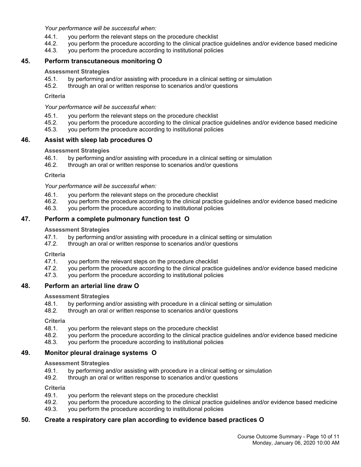*Your performance will be successful when:*

- 44.1. you perform the relevant steps on the procedure checklist
- 44.2. you perform the procedure according to the clinical practice guidelines and/or evidence based medicine
- 44.3. you perform the procedure according to institutional policies

# **45. Perform transcutaneous monitoring O**

#### **Assessment Strategies**

- 45.1. by performing and/or assisting with procedure in a clinical setting or simulation
- 45.2. through an oral or written response to scenarios and/or questions

**Criteria**

*Your performance will be successful when:*

- 45.1. you perform the relevant steps on the procedure checklist
- 45.2. you perform the procedure according to the clinical practice guidelines and/or evidence based medicine
- 45.3. you perform the procedure according to institutional policies

# **46. Assist with sleep lab procedures O**

#### **Assessment Strategies**

- 46.1. by performing and/or assisting with procedure in a clinical setting or simulation
- 46.2. through an oral or written response to scenarios and/or questions

**Criteria**

*Your performance will be successful when:*

- 46.1. you perform the relevant steps on the procedure checklist
- 46.2. you perform the procedure according to the clinical practice guidelines and/or evidence based medicine
- 46.3. you perform the procedure according to institutional policies

# **47. Perform a complete pulmonary function test O**

#### **Assessment Strategies**

- 47.1. by performing and/or assisting with procedure in a clinical setting or simulation
- 47.2. through an oral or written response to scenarios and/or questions

**Criteria**

- 47.1. you perform the relevant steps on the procedure checklist
- 47.2. you perform the procedure according to the clinical practice guidelines and/or evidence based medicine
- 47.3. you perform the procedure according to institutional policies

# **48. Perform an arterial line draw O**

**Assessment Strategies**

- 48.1. by performing and/or assisting with procedure in a clinical setting or simulation
- 48.2. through an oral or written response to scenarios and/or questions

**Criteria**

- 48.1. you perform the relevant steps on the procedure checklist
- 48.2. you perform the procedure according to the clinical practice guidelines and/or evidence based medicine
- 48.3. you perform the procedure according to institutional policies

# **49. Monitor pleural drainage systems O**

**Assessment Strategies**

- 49.1. by performing and/or assisting with procedure in a clinical setting or simulation
- 49.2. through an oral or written response to scenarios and/or questions

**Criteria**

- 49.1. you perform the relevant steps on the procedure checklist
- 49.2. you perform the procedure according to the clinical practice guidelines and/or evidence based medicine
- 49.3. you perform the procedure according to institutional policies

# **50. Create a respiratory care plan according to evidence based practices O**